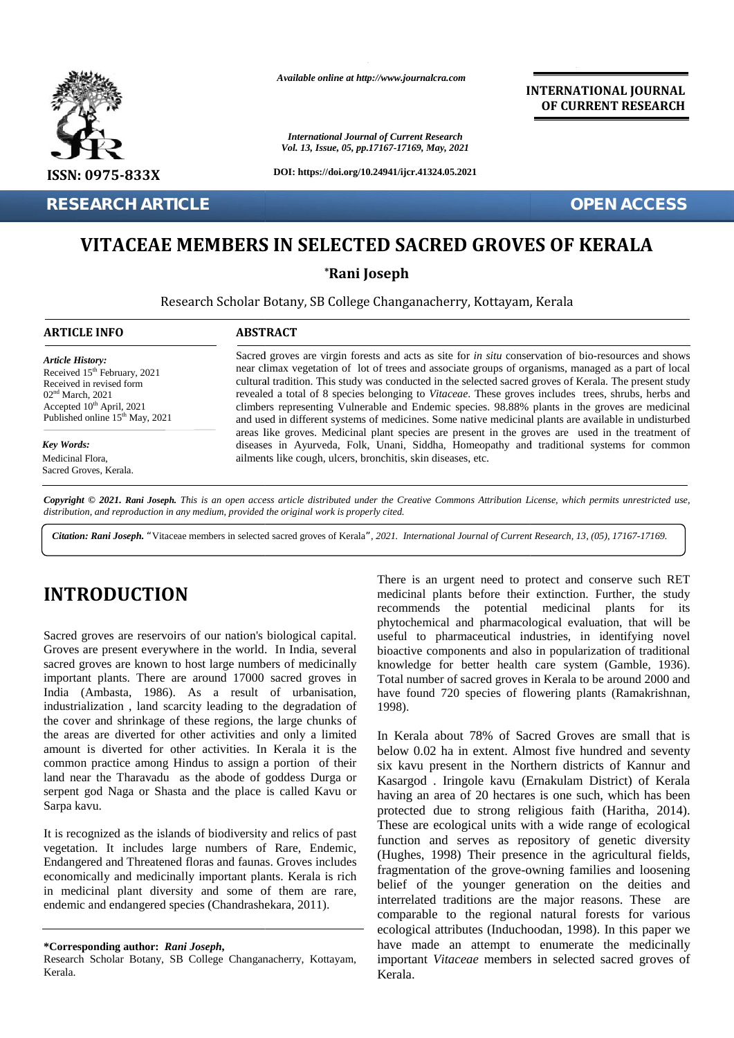

*Available online at http://www.journalcra.com*

*International Journal of Current Research Vol. 13, Issue, 05, pp.17167-17169, May, 2021* **INTERNATIONAL JOURNAL OF CURRENT RESEARCH**

## **VITACEAE MEMBERS IN SELECTED SACRED GROVES OF KERALA VITACEAESELECTEDSACREDGROVES KERALA**

|                                                                                                                                                                                                                                                                                                                                                                                                                                                                                 | <b>International Journal of Current Research</b><br>Vol. 13, Issue, 05, pp.17167-17169, May, 2021                                                                                                                                                                                                                                                                                                                                                                                                                                                                                                                                                                                                                                                                                                                                                                                                            |                                                                                                                                                                                                                                                                                                                                                                                                                                                                                                                                                                                        |  |  |  |  |
|---------------------------------------------------------------------------------------------------------------------------------------------------------------------------------------------------------------------------------------------------------------------------------------------------------------------------------------------------------------------------------------------------------------------------------------------------------------------------------|--------------------------------------------------------------------------------------------------------------------------------------------------------------------------------------------------------------------------------------------------------------------------------------------------------------------------------------------------------------------------------------------------------------------------------------------------------------------------------------------------------------------------------------------------------------------------------------------------------------------------------------------------------------------------------------------------------------------------------------------------------------------------------------------------------------------------------------------------------------------------------------------------------------|----------------------------------------------------------------------------------------------------------------------------------------------------------------------------------------------------------------------------------------------------------------------------------------------------------------------------------------------------------------------------------------------------------------------------------------------------------------------------------------------------------------------------------------------------------------------------------------|--|--|--|--|
| ISSN: 0975-833X                                                                                                                                                                                                                                                                                                                                                                                                                                                                 | DOI: https://doi.org/10.24941/ijcr.41324.05.2021                                                                                                                                                                                                                                                                                                                                                                                                                                                                                                                                                                                                                                                                                                                                                                                                                                                             |                                                                                                                                                                                                                                                                                                                                                                                                                                                                                                                                                                                        |  |  |  |  |
| <b>RESEARCH ARTICLE</b>                                                                                                                                                                                                                                                                                                                                                                                                                                                         |                                                                                                                                                                                                                                                                                                                                                                                                                                                                                                                                                                                                                                                                                                                                                                                                                                                                                                              | <b>OPEN ACCESS</b>                                                                                                                                                                                                                                                                                                                                                                                                                                                                                                                                                                     |  |  |  |  |
|                                                                                                                                                                                                                                                                                                                                                                                                                                                                                 |                                                                                                                                                                                                                                                                                                                                                                                                                                                                                                                                                                                                                                                                                                                                                                                                                                                                                                              | VITACEAE MEMBERS IN SELECTED SACRED GROVES OF KERALA                                                                                                                                                                                                                                                                                                                                                                                                                                                                                                                                   |  |  |  |  |
|                                                                                                                                                                                                                                                                                                                                                                                                                                                                                 |                                                                                                                                                                                                                                                                                                                                                                                                                                                                                                                                                                                                                                                                                                                                                                                                                                                                                                              | *Rani Joseph                                                                                                                                                                                                                                                                                                                                                                                                                                                                                                                                                                           |  |  |  |  |
|                                                                                                                                                                                                                                                                                                                                                                                                                                                                                 |                                                                                                                                                                                                                                                                                                                                                                                                                                                                                                                                                                                                                                                                                                                                                                                                                                                                                                              | Research Scholar Botany, SB College Changanacherry, Kottayam, Kerala                                                                                                                                                                                                                                                                                                                                                                                                                                                                                                                   |  |  |  |  |
| <b>ARTICLE INFO</b>                                                                                                                                                                                                                                                                                                                                                                                                                                                             | <b>ABSTRACT</b>                                                                                                                                                                                                                                                                                                                                                                                                                                                                                                                                                                                                                                                                                                                                                                                                                                                                                              |                                                                                                                                                                                                                                                                                                                                                                                                                                                                                                                                                                                        |  |  |  |  |
| <b>Article History:</b><br>Received 15 <sup>th</sup> February, 2021<br>Received in revised form<br>02 <sup>nd</sup> March, 2021<br>Accepted 10 <sup>th</sup> April, 2021<br>Published online 15 <sup>th</sup> May, 2021<br><b>Key Words:</b><br>Medicinal Flora,<br>Sacred Groves, Kerala.                                                                                                                                                                                      | Sacred groves are virgin forests and acts as site for in situ conservation of bio-resources and shows<br>near climax vegetation of lot of trees and associate groups of organisms, managed as a part of local<br>cultural tradition. This study was conducted in the selected sacred groves of Kerala. The present study<br>revealed a total of 8 species belonging to Vitaceae. These groves includes trees, shrubs, herbs and<br>climbers representing Vulnerable and Endemic species. 98.88% plants in the groves are medicinal<br>and used in different systems of medicines. Some native medicinal plants are available in undisturbed<br>areas like groves. Medicinal plant species are present in the groves are used in the treatment of<br>diseases in Ayurveda, Folk, Unani, Siddha, Homeopathy and traditional systems for common<br>ailments like cough, ulcers, bronchitis, skin diseases, etc. |                                                                                                                                                                                                                                                                                                                                                                                                                                                                                                                                                                                        |  |  |  |  |
|                                                                                                                                                                                                                                                                                                                                                                                                                                                                                 | distribution, and reproduction in any medium, provided the original work is properly cited.                                                                                                                                                                                                                                                                                                                                                                                                                                                                                                                                                                                                                                                                                                                                                                                                                  | Copyright © 2021. Rani Joseph. This is an open access article distributed under the Creative Commons Attribution License, which permits unrestricted use,<br>Citation: Rani Joseph. "Vitaceae members in selected sacred groves of Kerala", 2021. International Journal of Current Research, 13, (05), 17167-17169.                                                                                                                                                                                                                                                                    |  |  |  |  |
| <b>INTRODUCTION</b><br>Sacred groves are reservoirs of our nation's biological capital.<br>Groves are present everywhere in the world. In India, several<br>sacred groves are known to host large numbers of medicinally<br>important plants. There are around 17000 sacred groves in<br>India (Ambasta, 1986). As a result of urbanisation,<br>industrialization, land scarcity leading to the degradation of<br>the cover and shrinkage of these regions, the large chunks of |                                                                                                                                                                                                                                                                                                                                                                                                                                                                                                                                                                                                                                                                                                                                                                                                                                                                                                              | There is an urgent need to protect and conserve such RET<br>medicinal plants before their extinction. Further, the study<br>recommends the potential medicinal<br>plants<br>for<br>its<br>phytochemical and pharmacological evaluation, that will be<br>useful to pharmaceutical industries, in identifying novel<br>bioactive components and also in popularization of traditional<br>knowledge for better health care system (Gamble, 1936).<br>Total number of sacred groves in Kerala to be around 2000 and<br>have found 720 species of flowering plants (Ramakrishnan,<br>1998). |  |  |  |  |
| the areas are diverted for other activities and only a limited<br>amount is diverted for other activities. In Kerala it is the<br>common practice among Hindus to assign a portion of their<br>land near the Tharavadu as the abode of goddess Durga or<br>serpent god Naga or Shasta and the place is called Kavu or<br>Sarpa kavu.                                                                                                                                            |                                                                                                                                                                                                                                                                                                                                                                                                                                                                                                                                                                                                                                                                                                                                                                                                                                                                                                              | In Kerala about 78% of Sacred Groves are small that is<br>below 0.02 ha in extent. Almost five hundred and seventy<br>six kavu present in the Northern districts of Kannur and<br>Kasargod . Iringole kavu (Ernakulam District) of Kerala<br>having an area of 20 hectares is one such, which has been<br>protected due to strong religious faith (Haritha, 2014).                                                                                                                                                                                                                     |  |  |  |  |
| It is recognized as the islands of biodiversity and relics of past<br>vegetation. It includes large numbers of Rare, Endemic,<br>Endangered and Threatened floras and faunas. Groves includes<br>economically and medicinally important plants. Kerala is rich<br>in medicinal plant diversity and some of them are rare,<br>endemic and endangered species (Chandrashekara, 2011).                                                                                             |                                                                                                                                                                                                                                                                                                                                                                                                                                                                                                                                                                                                                                                                                                                                                                                                                                                                                                              | These are ecological units with a wide range of ecological<br>function and serves as repository of genetic diversity<br>(Hughes, 1998) Their presence in the agricultural fields,<br>fragmentation of the grove-owning families and loosening<br>belief of the younger generation on the deities and<br>interrelated traditions are the major reasons. These<br>are<br>comparable to the regional natural forests for various                                                                                                                                                          |  |  |  |  |
| *Corresponding author: Rani Joseph,<br>Research Scholar Botany, SB College Changanacherry, Kottayam,                                                                                                                                                                                                                                                                                                                                                                            |                                                                                                                                                                                                                                                                                                                                                                                                                                                                                                                                                                                                                                                                                                                                                                                                                                                                                                              | ecological attributes (Induchoodan, 1998). In this paper we<br>have made an attempt to enumerate the medicinally<br>important Vitaceae members in selected sacred groves of                                                                                                                                                                                                                                                                                                                                                                                                            |  |  |  |  |

# **INTRODUCTION INTRODUCTION**

**<sup>\*</sup>Corresponding author:** *Rani Joseph***, \*Corresponding** 

Research Scholar Botany, SB College Changanacherry, Kottayam, Kerala.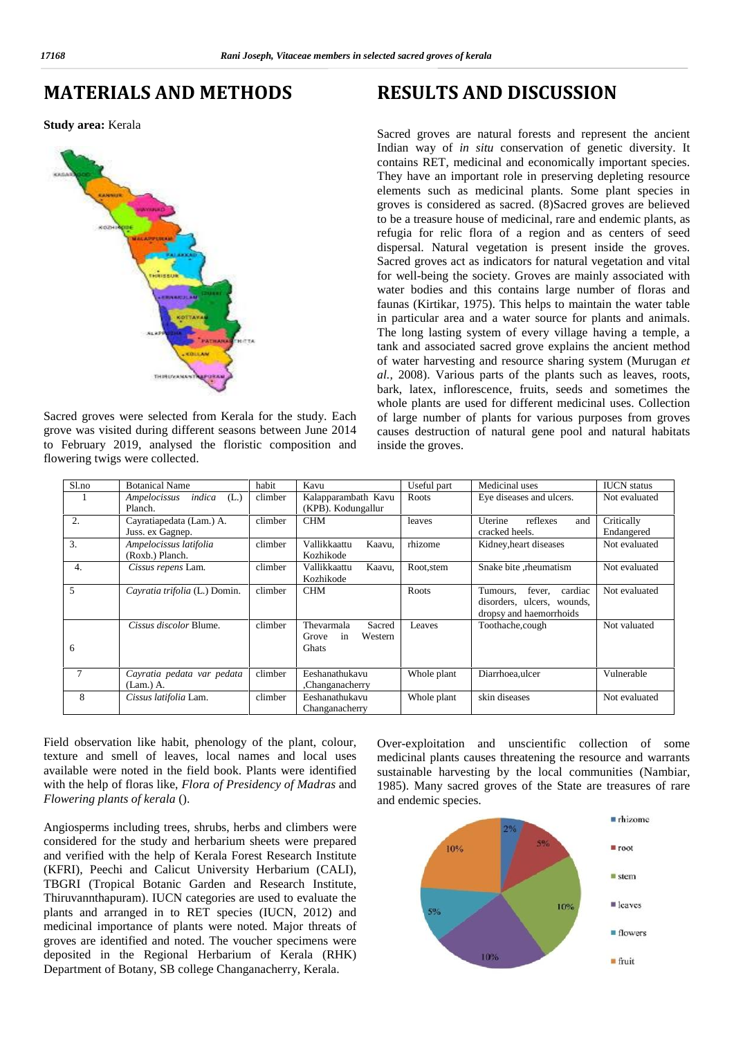### **MATERIALS AND METHODS**

#### **Study area:** Kerala



Sacred groves were selected from Kerala for the study. Each grove was visited during different seasons between June 2014 to February 2019, analysed the floristic composition and flowering twigs were collected.

### **RESULTS AND DISCUSSION**

Sacred groves are natural forests and represent the ancient Indian way of *in situ* conservation of genetic diversity. It contains RET, medicinal and economically important species. They have an important role in preserving depleting resource elements such as medicinal plants. Some plant species in groves is considered as sacred. (8)Sacred groves are believed to be a treasure house of medicinal, rare and endemic plants, as refugia for relic flora of a region and as centers of seed dispersal. Natural vegetation is present inside the groves. Sacred groves act as indicators for natural vegetation and vital for well-being the society. Groves are mainly associated with water bodies and this contains large number of floras and faunas (Kirtikar, 1975). This helps to maintain the water table in particular area and a water source for plants and animals. The long lasting system of every village having a temple, a tank and associated sacred grove explains the ancient method of water harvesting and resource sharing system (Murugan *et al.,* 2008). Various parts of the plants such as leaves, roots, bark, latex, inflorescence, fruits, seeds and sometimes the whole plants are used for different medicinal uses. Collection of large number of plants for various purposes from groves causes destruction of natural gene pool and natural habitats inside the groves.

| S1.no            | <b>Botanical Name</b>                        | habit   | Kavu                                                    | Useful part | Medicinal uses                                                                         | <b>IUCN</b> status       |
|------------------|----------------------------------------------|---------|---------------------------------------------------------|-------------|----------------------------------------------------------------------------------------|--------------------------|
| $\mathbf{I}$     | Ampelocissus<br>indica<br>(L.)<br>Planch.    | climber | Kalapparambath Kavu<br>(KPB). Kodungallur               | Roots       | Eye diseases and ulcers.                                                               | Not evaluated            |
| $\overline{2}$ . | Cayratiapedata (Lam.) A.<br>Juss. ex Gagnep. | climber | <b>CHM</b>                                              | leaves      | Uterine<br>reflexes<br>and<br>cracked heels.                                           | Critically<br>Endangered |
| 3.               | Ampelocissus latifolia<br>(Roxb.) Planch.    | climber | Vallikkaattu<br>Kaavu,<br>Kozhikode                     | rhizome     | Kidney, heart diseases                                                                 | Not evaluated            |
| $\overline{4}$ . | Cissus repens Lam.                           | climber | Vallikkaattu<br>Kaavu,<br>Kozhikode                     | Root, stem  | Snake bite , rheumatism                                                                | Not evaluated            |
| 5                | Cayratia trifolia (L.) Domin.                | climber | <b>CHM</b>                                              | Roots       | fever,<br>cardiac<br>Tumours,<br>disorders, ulcers, wounds,<br>dropsy and haemorrhoids | Not evaluated            |
| 6                | Cissus discolor Blume.                       | climber | Sacred<br>Thevarmala<br>Western<br>Grove<br>in<br>Ghats | Leaves      | Toothache, cough                                                                       | Not valuated             |
| 7                | Cayratia pedata var pedata<br>$(Lam.)$ A.    | climber | Eeshanathukavu<br>Changanacherry,                       | Whole plant | Diarrhoea, ulcer                                                                       | Vulnerable               |
| 8                | Cissus latifolia Lam.                        | climber | Eeshanathukavu<br>Changanacherry                        | Whole plant | skin diseases                                                                          | Not evaluated            |

Field observation like habit, phenology of the plant, colour, texture and smell of leaves, local names and local uses available were noted in the field book. Plants were identified with the help of floras like, *Flora of Presidency of Madras* and *Flowering plants of kerala* ().

Angiosperms including trees, shrubs, herbs and climbers were considered for the study and herbarium sheets were prepared and verified with the help of Kerala Forest Research Institute (KFRI), Peechi and Calicut University Herbarium (CALI), TBGRI (Tropical Botanic Garden and Research Institute, Thiruvannthapuram). IUCN categories are used to evaluate the plants and arranged in to RET species (IUCN, 2012) and medicinal importance of plants were noted. Major threats of groves are identified and noted. The voucher specimens were deposited in the Regional Herbarium of Kerala (RHK) Department of Botany, SB college Changanacherry, Kerala.

Over-exploitation and unscientific collection of some medicinal plants causes threatening the resource and warrants sustainable harvesting by the local communities (Nambiar, 1985). Many sacred groves of the State are treasures of rare and endemic species.